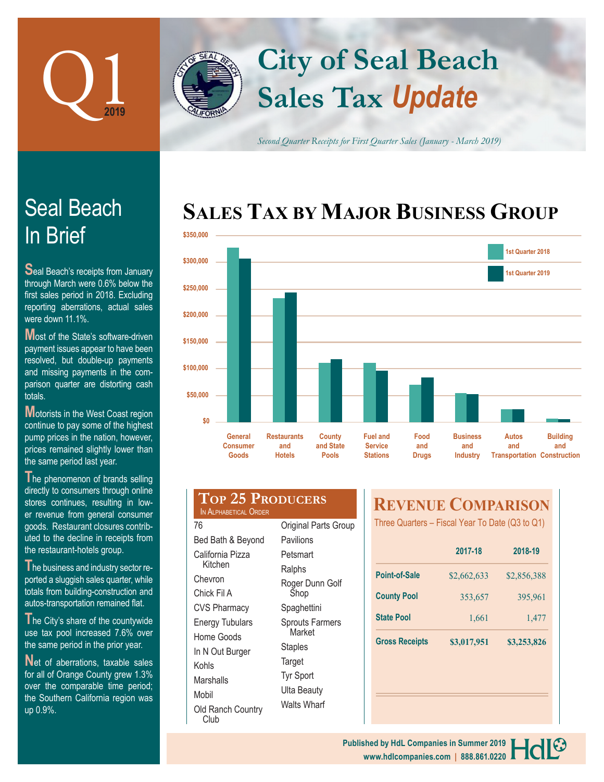

# **Sales Tax** *Update* **City of Seal Beach**

*Second Quarter Receipts for First Quarter Sales (January - March 2019)*

# **SALES TAX BY MAJOR BUSINESS GROUP**



# In Brief Seal Beach

**S**eal Beach's receipts from January through March were 0.6% below the first sales period in 2018. Excluding reporting aberrations, actual sales were down 11.1%.

**Most of the State's software-driven** payment issues appear to have been resolved, but double-up payments and missing payments in the comparison quarter are distorting cash totals.

**Motorists in the West Coast region** continue to pay some of the highest pump prices in the nation, however, prices remained slightly lower than the same period last year.

**T**he phenomenon of brands selling directly to consumers through online stores continues, resulting in lower revenue from general consumer goods. Restaurant closures contributed to the decline in receipts from the restaurant-hotels group.

**T**he business and industry sector reported a sluggish sales quarter, while totals from building-construction and autos-transportation remained flat.

The City's share of the countywide use tax pool increased 7.6% over the same period in the prior year.

Net of aberrations, taxable sales for all of Orange County grew 1.3% over the comparable time period; the Southern California region was up 0.9%.

| <b>TOP 25 PRODUCERS</b><br>IN ALPHABETICAL ORDER |                       |  |
|--------------------------------------------------|-----------------------|--|
| 76                                               | <b>Original Parts</b> |  |
| Bed Bath & Beyond                                | Pavilions             |  |

California Pizza Kitchen Chevron Chick Fil A CVS Pharmacy Energy Tubulars Home Goods In N Out Burger Kohls Marshalls Mobil Old Ranch Country Club

**Group** Petsmart **Ralphs** Roger Dunn Golf Shop Spaghettini Sprouts Farmers Market **Staples Target** Tyr Sport Ulta Beauty Walts Wharf

# **REVENUE COMPARISON**

Three Quarters – Fiscal Year To Date (Q3 to Q1)

|                       | 2017-18     | 2018-19     |
|-----------------------|-------------|-------------|
| <b>Point-of-Sale</b>  | \$2,662,633 | \$2,856,388 |
| <b>County Pool</b>    | 353,657     | 395,961     |
| <b>State Pool</b>     | 1,661       | 1,477       |
| <b>Gross Receipts</b> | \$3,017,951 | \$3,253,826 |

#### **www.hdlcompanies.com | 888.861.0220 Published by HdL Companies in Summer 2019**